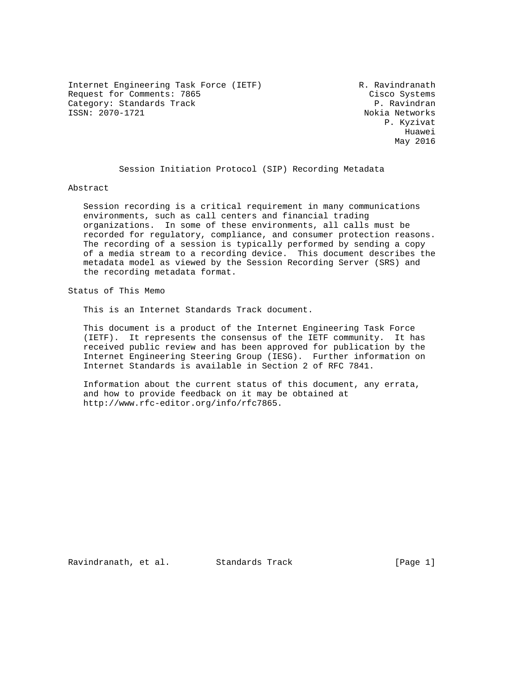Internet Engineering Task Force (IETF) R. Ravindranath Request for Comments: 7865 Cisco Systems Category: Standards Track P. Ravindran ISSN: 2070-1721 Nokia Networks

 P. Kyzivat he distributed by the control of the control of the control of the control of the control of the control of the control of the control of the control of the control of the control of the control of the control of the contr May 2016

Session Initiation Protocol (SIP) Recording Metadata

Abstract

 Session recording is a critical requirement in many communications environments, such as call centers and financial trading organizations. In some of these environments, all calls must be recorded for regulatory, compliance, and consumer protection reasons. The recording of a session is typically performed by sending a copy of a media stream to a recording device. This document describes the metadata model as viewed by the Session Recording Server (SRS) and the recording metadata format.

Status of This Memo

This is an Internet Standards Track document.

 This document is a product of the Internet Engineering Task Force (IETF). It represents the consensus of the IETF community. It has received public review and has been approved for publication by the Internet Engineering Steering Group (IESG). Further information on Internet Standards is available in Section 2 of RFC 7841.

 Information about the current status of this document, any errata, and how to provide feedback on it may be obtained at http://www.rfc-editor.org/info/rfc7865.

Ravindranath, et al. Standards Track [Page 1]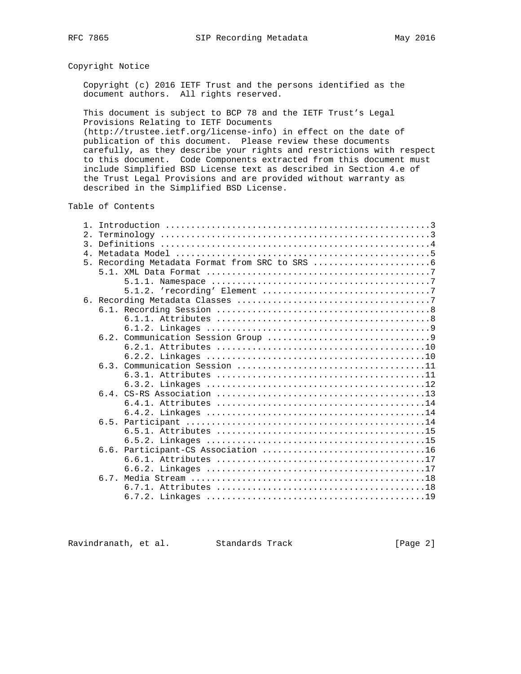# Copyright Notice

 Copyright (c) 2016 IETF Trust and the persons identified as the document authors. All rights reserved.

 This document is subject to BCP 78 and the IETF Trust's Legal Provisions Relating to IETF Documents (http://trustee.ietf.org/license-info) in effect on the date of publication of this document. Please review these documents carefully, as they describe your rights and restrictions with respect to this document. Code Components extracted from this document must include Simplified BSD License text as described in Section 4.e of the Trust Legal Provisions and are provided without warranty as described in the Simplified BSD License.

Table of Contents

| $\mathbf{1}$   |  |
|----------------|--|
| 2.             |  |
| $\mathcal{E}$  |  |
| $\overline{4}$ |  |
| 5 <sub>1</sub> |  |
|                |  |
|                |  |
|                |  |
|                |  |
|                |  |
|                |  |
|                |  |
|                |  |
|                |  |
|                |  |
|                |  |
|                |  |
|                |  |
|                |  |
|                |  |
|                |  |
|                |  |
|                |  |
|                |  |
|                |  |
|                |  |
|                |  |
|                |  |
|                |  |
|                |  |

Ravindranath, et al. Standards Track [Page 2]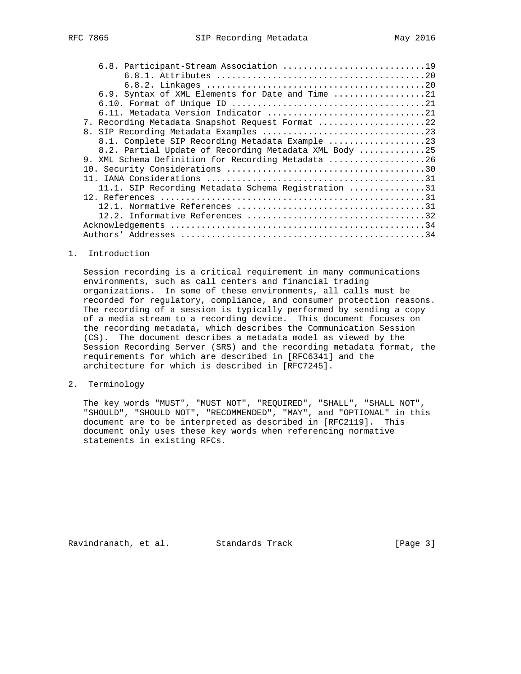| 6.8. Participant-Stream Association 19                |
|-------------------------------------------------------|
|                                                       |
|                                                       |
| 6.9. Syntax of XML Elements for Date and Time 21      |
|                                                       |
|                                                       |
| 7. Recording Metadata Snapshot Request Format 22      |
|                                                       |
| 8.1. Complete SIP Recording Metadata Example 23       |
| 8.2. Partial Update of Recording Metadata XML Body 25 |
| 9. XML Schema Definition for Recording Metadata 26    |
|                                                       |
|                                                       |
| 11.1. SIP Recording Metadata Schema Registration 31   |
|                                                       |
|                                                       |
|                                                       |
|                                                       |
|                                                       |

## 1. Introduction

 Session recording is a critical requirement in many communications environments, such as call centers and financial trading organizations. In some of these environments, all calls must be recorded for regulatory, compliance, and consumer protection reasons. The recording of a session is typically performed by sending a copy of a media stream to a recording device. This document focuses on the recording metadata, which describes the Communication Session (CS). The document describes a metadata model as viewed by the Session Recording Server (SRS) and the recording metadata format, the requirements for which are described in [RFC6341] and the architecture for which is described in [RFC7245].

## 2. Terminology

 The key words "MUST", "MUST NOT", "REQUIRED", "SHALL", "SHALL NOT", "SHOULD", "SHOULD NOT", "RECOMMENDED", "MAY", and "OPTIONAL" in this document are to be interpreted as described in [RFC2119]. This document only uses these key words when referencing normative statements in existing RFCs.

Ravindranath, et al. Standards Track [Page 3]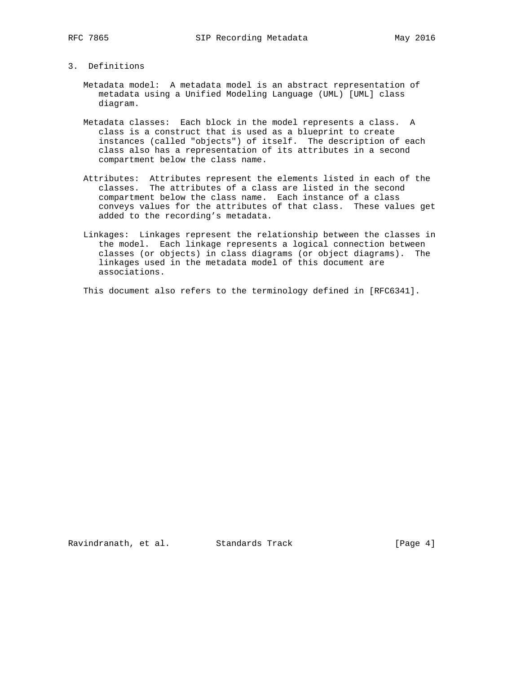### 3. Definitions

- Metadata model: A metadata model is an abstract representation of metadata using a Unified Modeling Language (UML) [UML] class diagram.
- Metadata classes: Each block in the model represents a class. A class is a construct that is used as a blueprint to create instances (called "objects") of itself. The description of each class also has a representation of its attributes in a second compartment below the class name.
- Attributes: Attributes represent the elements listed in each of the classes. The attributes of a class are listed in the second compartment below the class name. Each instance of a class conveys values for the attributes of that class. These values get added to the recording's metadata.
- Linkages: Linkages represent the relationship between the classes in the model. Each linkage represents a logical connection between classes (or objects) in class diagrams (or object diagrams). The linkages used in the metadata model of this document are associations.
- This document also refers to the terminology defined in [RFC6341].

Ravindranath, et al. Standards Track [Page 4]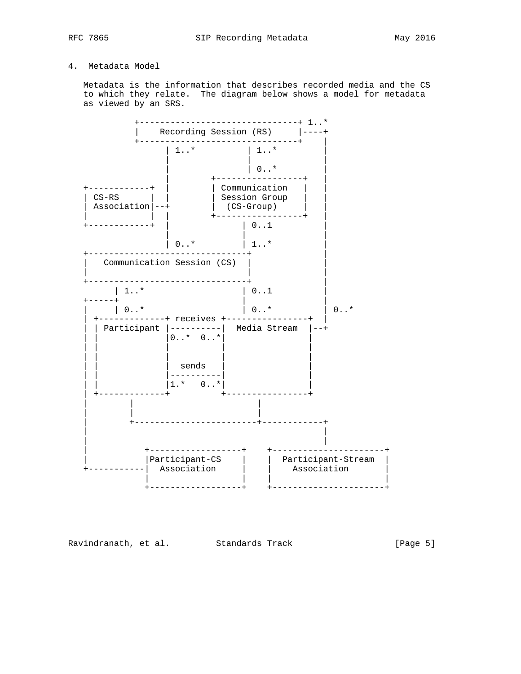# 4. Metadata Model

 Metadata is the information that describes recorded media and the CS to which they relate. The diagram below shows a model for metadata as viewed by an SRS.



Ravindranath, et al. Standards Track [Page 5]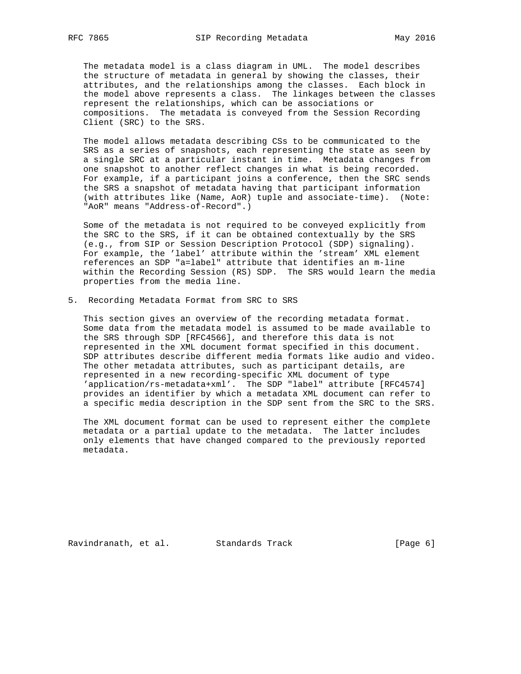The metadata model is a class diagram in UML. The model describes the structure of metadata in general by showing the classes, their attributes, and the relationships among the classes. Each block in the model above represents a class. The linkages between the classes represent the relationships, which can be associations or compositions. The metadata is conveyed from the Session Recording Client (SRC) to the SRS.

 The model allows metadata describing CSs to be communicated to the SRS as a series of snapshots, each representing the state as seen by a single SRC at a particular instant in time. Metadata changes from one snapshot to another reflect changes in what is being recorded. For example, if a participant joins a conference, then the SRC sends the SRS a snapshot of metadata having that participant information (with attributes like (Name, AoR) tuple and associate-time). (Note: "AoR" means "Address-of-Record".)

 Some of the metadata is not required to be conveyed explicitly from the SRC to the SRS, if it can be obtained contextually by the SRS (e.g., from SIP or Session Description Protocol (SDP) signaling). For example, the 'label' attribute within the 'stream' XML element references an SDP "a=label" attribute that identifies an m-line within the Recording Session (RS) SDP. The SRS would learn the media properties from the media line.

5. Recording Metadata Format from SRC to SRS

 This section gives an overview of the recording metadata format. Some data from the metadata model is assumed to be made available to the SRS through SDP [RFC4566], and therefore this data is not represented in the XML document format specified in this document. SDP attributes describe different media formats like audio and video. The other metadata attributes, such as participant details, are represented in a new recording-specific XML document of type 'application/rs-metadata+xml'. The SDP "label" attribute [RFC4574] provides an identifier by which a metadata XML document can refer to a specific media description in the SDP sent from the SRC to the SRS.

 The XML document format can be used to represent either the complete metadata or a partial update to the metadata. The latter includes only elements that have changed compared to the previously reported metadata.

Ravindranath, et al. Standards Track [Page 6]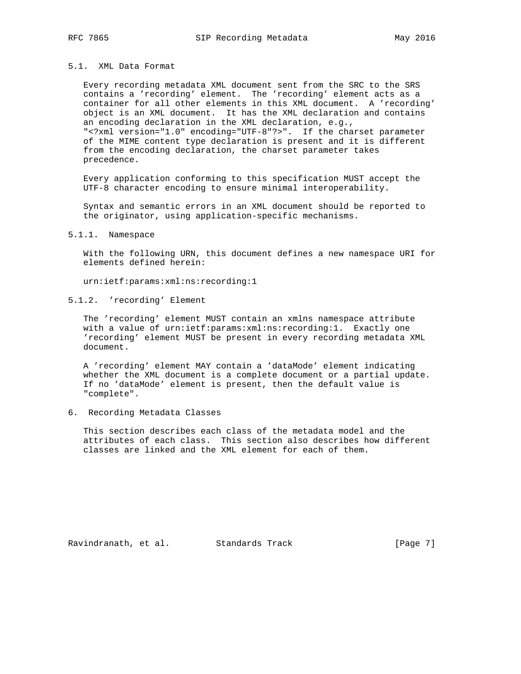## 5.1. XML Data Format

 Every recording metadata XML document sent from the SRC to the SRS contains a 'recording' element. The 'recording' element acts as a container for all other elements in this XML document. A 'recording' object is an XML document. It has the XML declaration and contains an encoding declaration in the XML declaration, e.g., "<?xml version="1.0" encoding="UTF-8"?>". If the charset parameter of the MIME content type declaration is present and it is different from the encoding declaration, the charset parameter takes precedence.

 Every application conforming to this specification MUST accept the UTF-8 character encoding to ensure minimal interoperability.

 Syntax and semantic errors in an XML document should be reported to the originator, using application-specific mechanisms.

#### 5.1.1. Namespace

 With the following URN, this document defines a new namespace URI for elements defined herein:

urn:ietf:params:xml:ns:recording:1

5.1.2. 'recording' Element

 The 'recording' element MUST contain an xmlns namespace attribute with a value of urn:ietf:params:xml:ns:recording:1. Exactly one 'recording' element MUST be present in every recording metadata XML document.

 A 'recording' element MAY contain a 'dataMode' element indicating whether the XML document is a complete document or a partial update. If no 'dataMode' element is present, then the default value is "complete".

6. Recording Metadata Classes

 This section describes each class of the metadata model and the attributes of each class. This section also describes how different classes are linked and the XML element for each of them.

Ravindranath, et al. Standards Track [Page 7]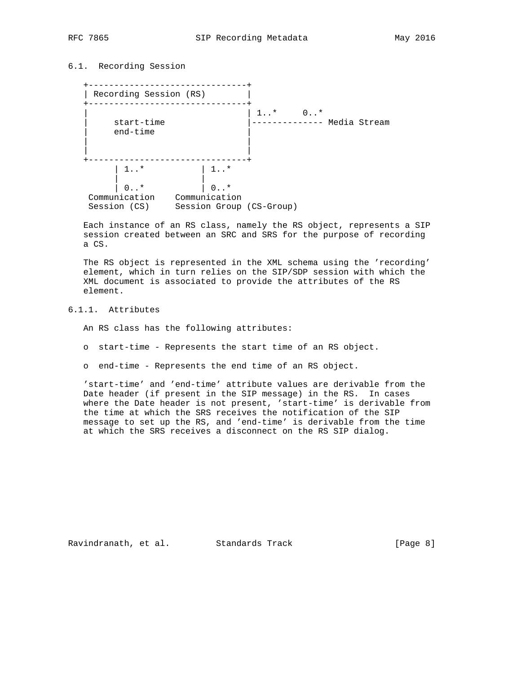# 6.1. Recording Session

 +-------------------------------+ | Recording Session (RS) | +-------------------------------+ | | 1..\* 0..\*  $|$ -------------- Media Stream end-time | | | | +-------------------------------+ | 1..\* | 1..\* | | | 0..\* | 0..\* Communication Communication Session (CS) Session Group (CS-Group)

 Each instance of an RS class, namely the RS object, represents a SIP session created between an SRC and SRS for the purpose of recording a CS.

 The RS object is represented in the XML schema using the 'recording' element, which in turn relies on the SIP/SDP session with which the XML document is associated to provide the attributes of the RS element.

# 6.1.1. Attributes

An RS class has the following attributes:

- o start-time Represents the start time of an RS object.
- o end-time Represents the end time of an RS object.

 'start-time' and 'end-time' attribute values are derivable from the Date header (if present in the SIP message) in the RS. In cases where the Date header is not present, 'start-time' is derivable from the time at which the SRS receives the notification of the SIP message to set up the RS, and 'end-time' is derivable from the time at which the SRS receives a disconnect on the RS SIP dialog.

Ravindranath, et al. Standards Track [Page 8]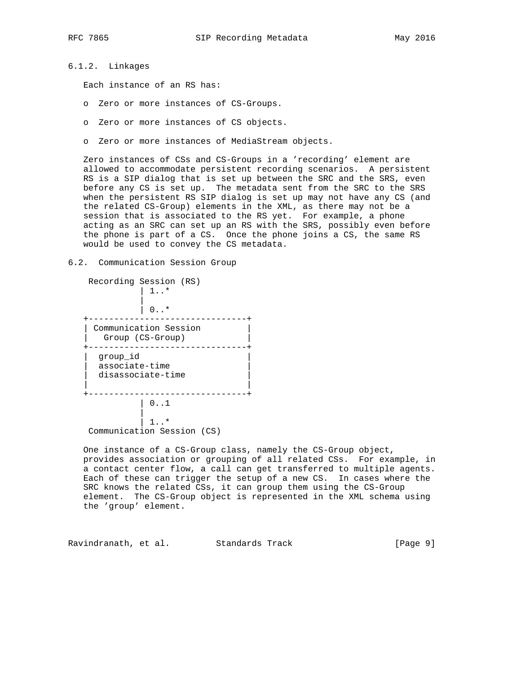6.1.2. Linkages

Each instance of an RS has:

- o Zero or more instances of CS-Groups.
- o Zero or more instances of CS objects.
- o Zero or more instances of MediaStream objects.

 Zero instances of CSs and CS-Groups in a 'recording' element are allowed to accommodate persistent recording scenarios. A persistent RS is a SIP dialog that is set up between the SRC and the SRS, even before any CS is set up. The metadata sent from the SRC to the SRS when the persistent RS SIP dialog is set up may not have any CS (and the related CS-Group) elements in the XML, as there may not be a session that is associated to the RS yet. For example, a phone acting as an SRC can set up an RS with the SRS, possibly even before the phone is part of a CS. Once the phone joins a CS, the same RS would be used to convey the CS metadata.

#### 6.2. Communication Session Group

| Recording Session (RS)<br>1.7                   |  |
|-------------------------------------------------|--|
| $0.7*$                                          |  |
| Communication Session<br>Group (CS-Group)       |  |
| qroup id<br>associate-time<br>disassociate-time |  |
| 0.1                                             |  |
| $\star$<br>Communication Session (CS)           |  |

 One instance of a CS-Group class, namely the CS-Group object, provides association or grouping of all related CSs. For example, in a contact center flow, a call can get transferred to multiple agents. Each of these can trigger the setup of a new CS. In cases where the SRC knows the related CSs, it can group them using the CS-Group element. The CS-Group object is represented in the XML schema using the 'group' element.

Ravindranath, et al. Standards Track [Page 9]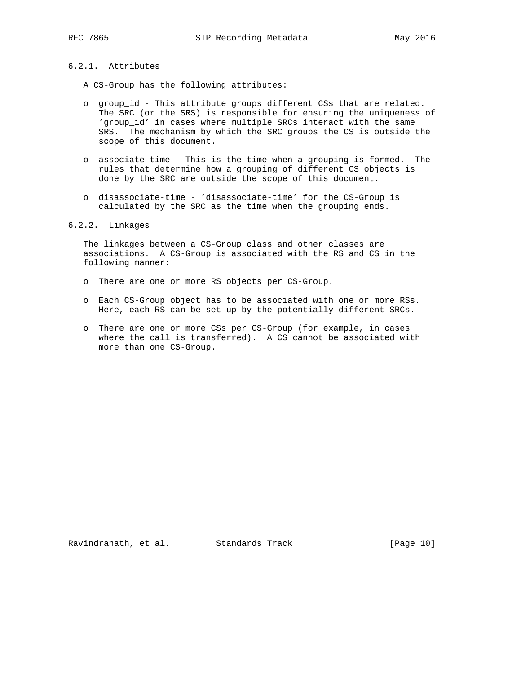# 6.2.1. Attributes

A CS-Group has the following attributes:

- o group\_id This attribute groups different CSs that are related. The SRC (or the SRS) is responsible for ensuring the uniqueness of 'group\_id' in cases where multiple SRCs interact with the same SRS. The mechanism by which the SRC groups the CS is outside the scope of this document.
- o associate-time This is the time when a grouping is formed. The rules that determine how a grouping of different CS objects is done by the SRC are outside the scope of this document.
- o disassociate-time 'disassociate-time' for the CS-Group is calculated by the SRC as the time when the grouping ends.

## 6.2.2. Linkages

 The linkages between a CS-Group class and other classes are associations. A CS-Group is associated with the RS and CS in the following manner:

- o There are one or more RS objects per CS-Group.
- o Each CS-Group object has to be associated with one or more RSs. Here, each RS can be set up by the potentially different SRCs.
- o There are one or more CSs per CS-Group (for example, in cases where the call is transferred). A CS cannot be associated with more than one CS-Group.

Ravindranath, et al. Standards Track [Page 10]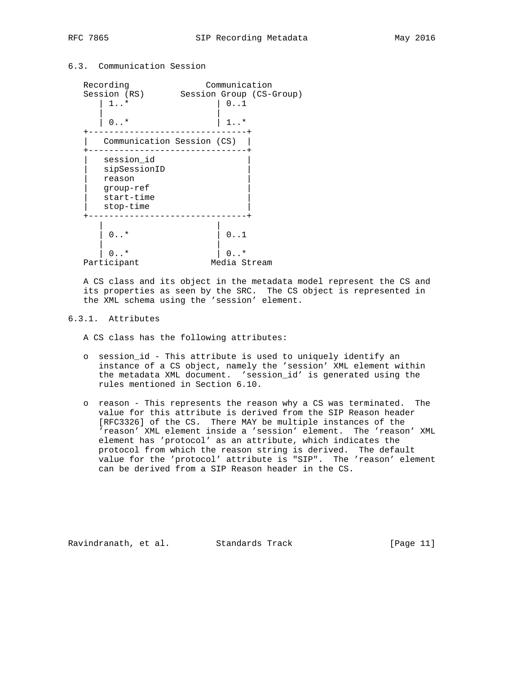# 6.3. Communication Session



 A CS class and its object in the metadata model represent the CS and its properties as seen by the SRC. The CS object is represented in the XML schema using the 'session' element.

## 6.3.1. Attributes

A CS class has the following attributes:

- o session\_id This attribute is used to uniquely identify an instance of a CS object, namely the 'session' XML element within the metadata XML document. 'session\_id' is generated using the rules mentioned in Section 6.10.
- o reason This represents the reason why a CS was terminated. The value for this attribute is derived from the SIP Reason header [RFC3326] of the CS. There MAY be multiple instances of the 'reason' XML element inside a 'session' element. The 'reason' XML element has 'protocol' as an attribute, which indicates the protocol from which the reason string is derived. The default value for the 'protocol' attribute is "SIP". The 'reason' element can be derived from a SIP Reason header in the CS.

Ravindranath, et al. Standards Track [Page 11]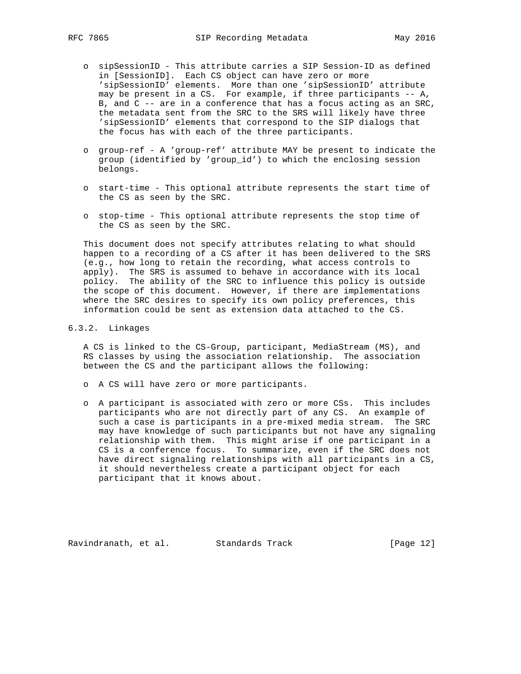- o sipSessionID This attribute carries a SIP Session-ID as defined in [SessionID]. Each CS object can have zero or more 'sipSessionID' elements. More than one 'sipSessionID' attribute may be present in a CS. For example, if three participants -- A, B, and C -- are in a conference that has a focus acting as an SRC, the metadata sent from the SRC to the SRS will likely have three 'sipSessionID' elements that correspond to the SIP dialogs that the focus has with each of the three participants.
- o group-ref A 'group-ref' attribute MAY be present to indicate the group (identified by 'group\_id') to which the enclosing session belongs.
- o start-time This optional attribute represents the start time of the CS as seen by the SRC.
- o stop-time This optional attribute represents the stop time of the CS as seen by the SRC.

 This document does not specify attributes relating to what should happen to a recording of a CS after it has been delivered to the SRS (e.g., how long to retain the recording, what access controls to apply). The SRS is assumed to behave in accordance with its local policy. The ability of the SRC to influence this policy is outside the scope of this document. However, if there are implementations where the SRC desires to specify its own policy preferences, this information could be sent as extension data attached to the CS.

# 6.3.2. Linkages

 A CS is linked to the CS-Group, participant, MediaStream (MS), and RS classes by using the association relationship. The association between the CS and the participant allows the following:

- o A CS will have zero or more participants.
- o A participant is associated with zero or more CSs. This includes participants who are not directly part of any CS. An example of such a case is participants in a pre-mixed media stream. The SRC may have knowledge of such participants but not have any signaling relationship with them. This might arise if one participant in a CS is a conference focus. To summarize, even if the SRC does not have direct signaling relationships with all participants in a CS, it should nevertheless create a participant object for each participant that it knows about.

Ravindranath, et al. Standards Track [Page 12]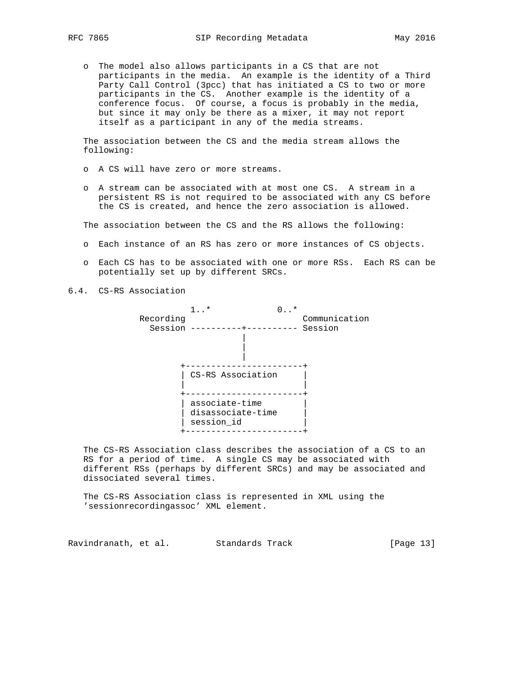o The model also allows participants in a CS that are not participants in the media. An example is the identity of a Third Party Call Control (3pcc) that has initiated a CS to two or more participants in the CS. Another example is the identity of a conference focus. Of course, a focus is probably in the media, but since it may only be there as a mixer, it may not report itself as a participant in any of the media streams.

 The association between the CS and the media stream allows the following:

- o A CS will have zero or more streams.
- o A stream can be associated with at most one CS. A stream in a persistent RS is not required to be associated with any CS before the CS is created, and hence the zero association is allowed.

The association between the CS and the RS allows the following:

- o Each instance of an RS has zero or more instances of CS objects.
- o Each CS has to be associated with one or more RSs. Each RS can be potentially set up by different SRCs.
- 6.4. CS-RS Association



 The CS-RS Association class describes the association of a CS to an RS for a period of time. A single CS may be associated with different RSs (perhaps by different SRCs) and may be associated and dissociated several times.

 The CS-RS Association class is represented in XML using the 'sessionrecordingassoc' XML element.

Ravindranath, et al. Standards Track [Page 13]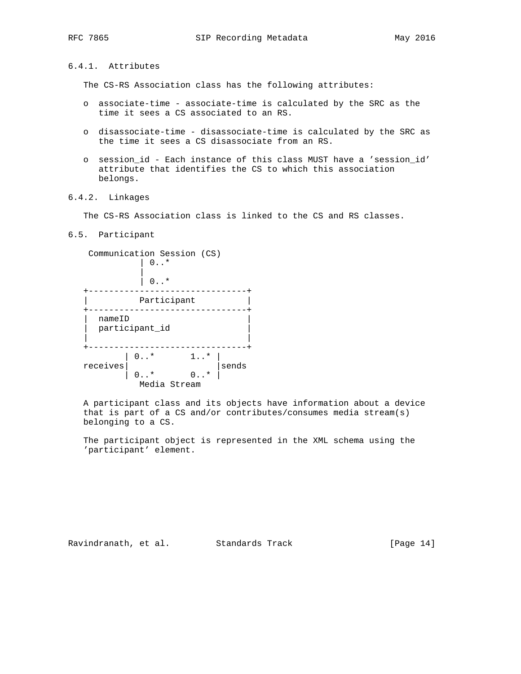6.4.1. Attributes

The CS-RS Association class has the following attributes:

- o associate-time associate-time is calculated by the SRC as the time it sees a CS associated to an RS.
- o disassociate-time disassociate-time is calculated by the SRC as the time it sees a CS disassociate from an RS.
- o session\_id Each instance of this class MUST have a 'session\_id' attribute that identifies the CS to which this association belongs.

### 6.4.2. Linkages

The CS-RS Association class is linked to the CS and RS classes.

## 6.5. Participant

 Communication Session (CS)  $| 0...*$  |  $\begin{matrix} 0 & . & . & \end{matrix}$  +-------------------------------+ Participant  $|$  +-------------------------------+ | nameID | participant\_id | | +-------------------------------+ | 0..\* 1..\* | receives| |sends  $| 0...* 0...* |$ Media Stream

 A participant class and its objects have information about a device that is part of a CS and/or contributes/consumes media stream(s) belonging to a CS.

 The participant object is represented in the XML schema using the 'participant' element.

Ravindranath, et al. Standards Track [Page 14]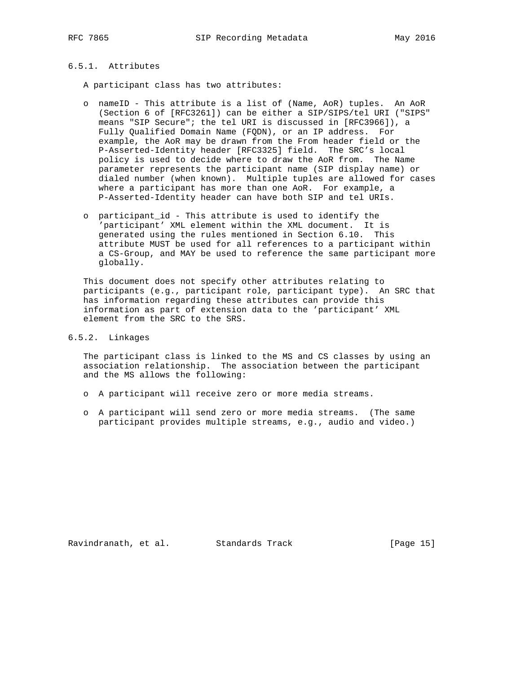# 6.5.1. Attributes

A participant class has two attributes:

- o nameID This attribute is a list of (Name, AoR) tuples. An AoR (Section 6 of [RFC3261]) can be either a SIP/SIPS/tel URI ("SIPS" means "SIP Secure"; the tel URI is discussed in [RFC3966]), a Fully Qualified Domain Name (FQDN), or an IP address. For example, the AoR may be drawn from the From header field or the P-Asserted-Identity header [RFC3325] field. The SRC's local policy is used to decide where to draw the AoR from. The Name parameter represents the participant name (SIP display name) or dialed number (when known). Multiple tuples are allowed for cases where a participant has more than one AoR. For example, a P-Asserted-Identity header can have both SIP and tel URIs.
- o participant\_id This attribute is used to identify the 'participant' XML element within the XML document. It is generated using the rules mentioned in Section 6.10. This attribute MUST be used for all references to a participant within a CS-Group, and MAY be used to reference the same participant more globally.

 This document does not specify other attributes relating to participants (e.g., participant role, participant type). An SRC that has information regarding these attributes can provide this information as part of extension data to the 'participant' XML element from the SRC to the SRS.

6.5.2. Linkages

 The participant class is linked to the MS and CS classes by using an association relationship. The association between the participant and the MS allows the following:

- o A participant will receive zero or more media streams.
- o A participant will send zero or more media streams. (The same participant provides multiple streams, e.g., audio and video.)

Ravindranath, et al. Standards Track [Page 15]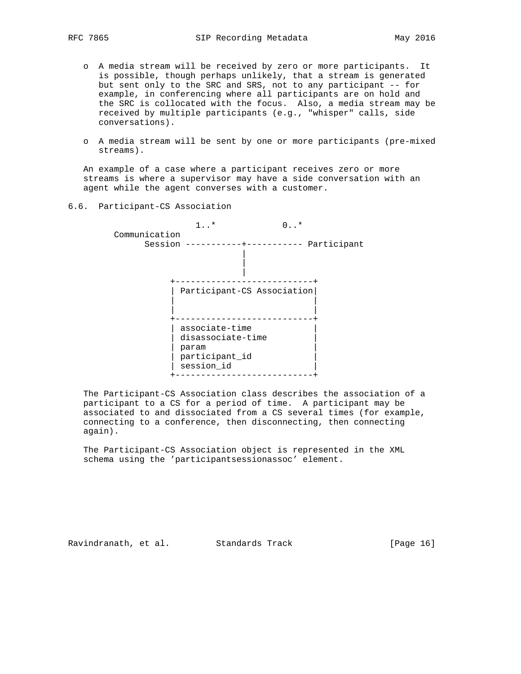- o A media stream will be received by zero or more participants. It is possible, though perhaps unlikely, that a stream is generated but sent only to the SRC and SRS, not to any participant -- for example, in conferencing where all participants are on hold and the SRC is collocated with the focus. Also, a media stream may be received by multiple participants (e.g., "whisper" calls, side conversations).
- o A media stream will be sent by one or more participants (pre-mixed streams).

 An example of a case where a participant receives zero or more streams is where a supervisor may have a side conversation with an agent while the agent converses with a customer.

## 6.6. Participant-CS Association

 1..\* 0..\* Communication Session -----------+----------- Participant | | | +---------------------------+ | Participant-CS Association| | | | | +---------------------------+  $|$  associate-time  $|$ | disassociate-time | | param | | participant\_id | | session\_id | +---------------------------+

 The Participant-CS Association class describes the association of a participant to a CS for a period of time. A participant may be associated to and dissociated from a CS several times (for example, connecting to a conference, then disconnecting, then connecting again).

 The Participant-CS Association object is represented in the XML schema using the 'participantsessionassoc' element.

Ravindranath, et al. Standards Track [Page 16]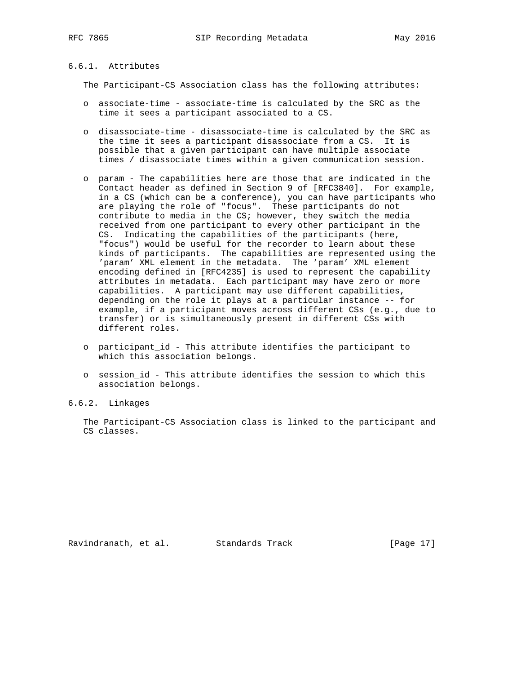#### 6.6.1. Attributes

The Participant-CS Association class has the following attributes:

- o associate-time associate-time is calculated by the SRC as the time it sees a participant associated to a CS.
- o disassociate-time disassociate-time is calculated by the SRC as the time it sees a participant disassociate from a CS. It is possible that a given participant can have multiple associate times / disassociate times within a given communication session.
- o param The capabilities here are those that are indicated in the Contact header as defined in Section 9 of [RFC3840]. For example, in a CS (which can be a conference), you can have participants who are playing the role of "focus". These participants do not contribute to media in the CS; however, they switch the media received from one participant to every other participant in the CS. Indicating the capabilities of the participants (here, "focus") would be useful for the recorder to learn about these kinds of participants. The capabilities are represented using the 'param' XML element in the metadata. The 'param' XML element encoding defined in [RFC4235] is used to represent the capability attributes in metadata. Each participant may have zero or more capabilities. A participant may use different capabilities, depending on the role it plays at a particular instance -- for example, if a participant moves across different CSs (e.g., due to transfer) or is simultaneously present in different CSs with different roles.
- o participant\_id This attribute identifies the participant to which this association belongs.
- o session\_id This attribute identifies the session to which this association belongs.
- 6.6.2. Linkages

 The Participant-CS Association class is linked to the participant and CS classes.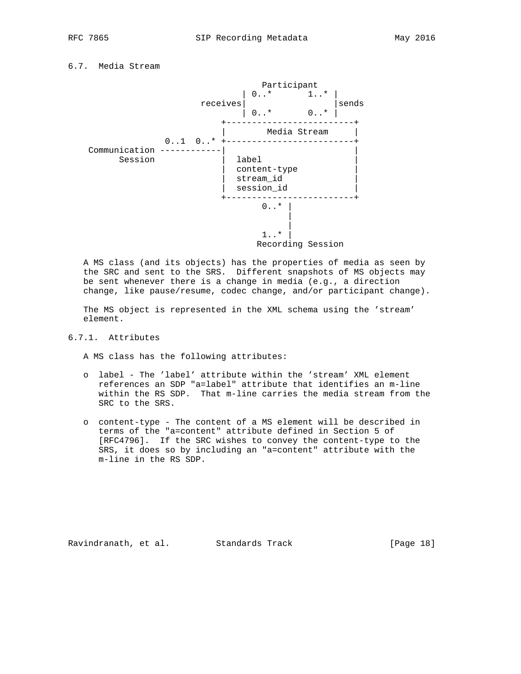6.7. Media Stream



 A MS class (and its objects) has the properties of media as seen by the SRC and sent to the SRS. Different snapshots of MS objects may be sent whenever there is a change in media (e.g., a direction change, like pause/resume, codec change, and/or participant change).

 The MS object is represented in the XML schema using the 'stream' element.

# 6.7.1. Attributes

A MS class has the following attributes:

- o label The 'label' attribute within the 'stream' XML element references an SDP "a=label" attribute that identifies an m-line within the RS SDP. That m-line carries the media stream from the SRC to the SRS.
- o content-type The content of a MS element will be described in terms of the "a=content" attribute defined in Section 5 of [RFC4796]. If the SRC wishes to convey the content-type to the SRS, it does so by including an "a=content" attribute with the m-line in the RS SDP.

Ravindranath, et al. Standards Track [Page 18]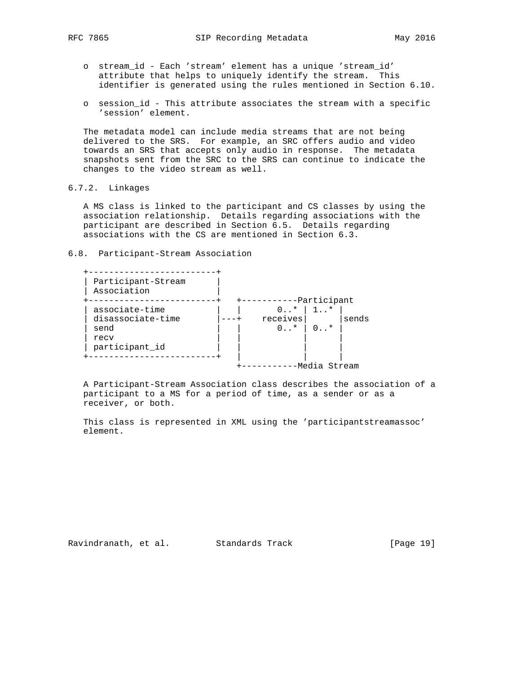- o stream\_id Each 'stream' element has a unique 'stream\_id' attribute that helps to uniquely identify the stream. This identifier is generated using the rules mentioned in Section 6.10.
- o session\_id This attribute associates the stream with a specific 'session' element.

 The metadata model can include media streams that are not being delivered to the SRS. For example, an SRC offers audio and video towards an SRS that accepts only audio in response. The metadata snapshots sent from the SRC to the SRS can continue to indicate the changes to the video stream as well.

```
6.7.2. Linkages
```
 A MS class is linked to the participant and CS classes by using the association relationship. Details regarding associations with the participant are described in Section 6.5. Details regarding associations with the CS are mentioned in Section 6.3.

6.8. Participant-Stream Association

| Participant-Stream<br>Association |                         |              |       |  |
|-----------------------------------|-------------------------|--------------|-------|--|
|                                   |                         | -Participant |       |  |
| associate-time                    | 0.5                     | $1.7*$       |       |  |
| disassociate-time                 | receives                |              | sends |  |
| send                              | $0 \ldots$ <sup>*</sup> | ∩ *          |       |  |
| recy                              |                         |              |       |  |
| participant_id                    |                         |              |       |  |
|                                   |                         |              |       |  |

 A Participant-Stream Association class describes the association of a participant to a MS for a period of time, as a sender or as a receiver, or both.

 This class is represented in XML using the 'participantstreamassoc' element.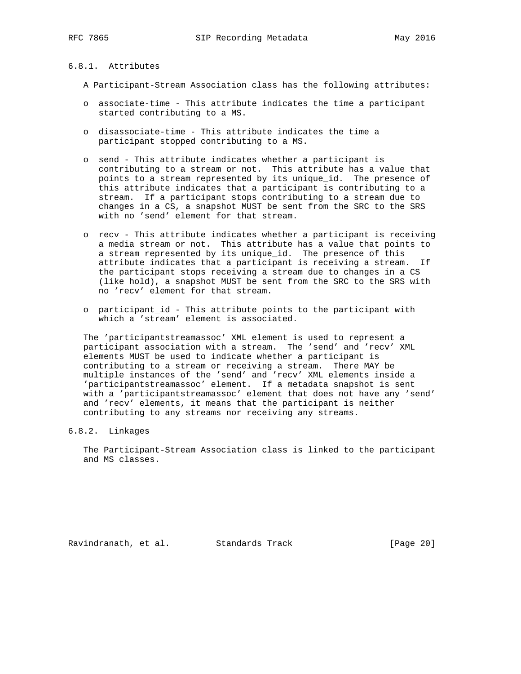# 6.8.1. Attributes

A Participant-Stream Association class has the following attributes:

- o associate-time This attribute indicates the time a participant started contributing to a MS.
- o disassociate-time This attribute indicates the time a participant stopped contributing to a MS.
- o send This attribute indicates whether a participant is contributing to a stream or not. This attribute has a value that points to a stream represented by its unique\_id. The presence of this attribute indicates that a participant is contributing to a stream. If a participant stops contributing to a stream due to changes in a CS, a snapshot MUST be sent from the SRC to the SRS with no 'send' element for that stream.
- o recv This attribute indicates whether a participant is receiving a media stream or not. This attribute has a value that points to a stream represented by its unique\_id. The presence of this attribute indicates that a participant is receiving a stream. If the participant stops receiving a stream due to changes in a CS (like hold), a snapshot MUST be sent from the SRC to the SRS with no 'recv' element for that stream.
- o participant\_id This attribute points to the participant with which a 'stream' element is associated.

 The 'participantstreamassoc' XML element is used to represent a participant association with a stream. The 'send' and 'recv' XML elements MUST be used to indicate whether a participant is contributing to a stream or receiving a stream. There MAY be multiple instances of the 'send' and 'recv' XML elements inside a 'participantstreamassoc' element. If a metadata snapshot is sent with a 'participantstreamassoc' element that does not have any 'send' and 'recv' elements, it means that the participant is neither contributing to any streams nor receiving any streams.

## 6.8.2. Linkages

 The Participant-Stream Association class is linked to the participant and MS classes.

Ravindranath, et al. Standards Track [Page 20]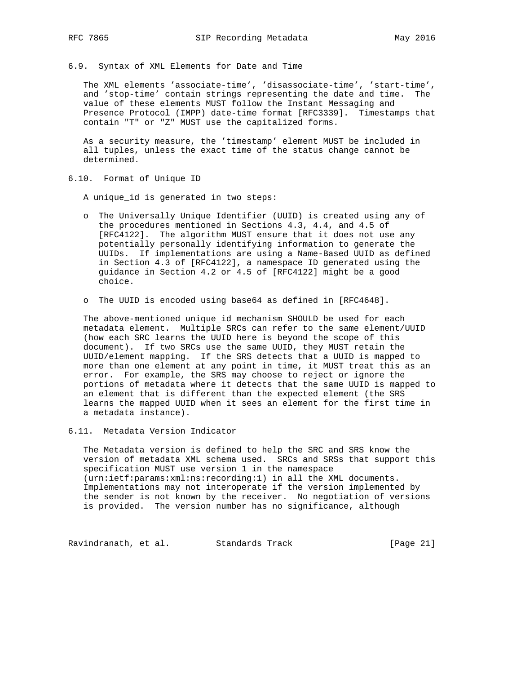6.9. Syntax of XML Elements for Date and Time

 The XML elements 'associate-time', 'disassociate-time', 'start-time', and 'stop-time' contain strings representing the date and time. The value of these elements MUST follow the Instant Messaging and Presence Protocol (IMPP) date-time format [RFC3339]. Timestamps that contain "T" or "Z" MUST use the capitalized forms.

 As a security measure, the 'timestamp' element MUST be included in all tuples, unless the exact time of the status change cannot be determined.

6.10. Format of Unique ID

A unique\_id is generated in two steps:

- o The Universally Unique Identifier (UUID) is created using any of the procedures mentioned in Sections 4.3, 4.4, and 4.5 of [RFC4122]. The algorithm MUST ensure that it does not use any potentially personally identifying information to generate the UUIDs. If implementations are using a Name-Based UUID as defined in Section 4.3 of [RFC4122], a namespace ID generated using the guidance in Section 4.2 or 4.5 of [RFC4122] might be a good choice.
- o The UUID is encoded using base64 as defined in [RFC4648].

 The above-mentioned unique\_id mechanism SHOULD be used for each metadata element. Multiple SRCs can refer to the same element/UUID (how each SRC learns the UUID here is beyond the scope of this document). If two SRCs use the same UUID, they MUST retain the UUID/element mapping. If the SRS detects that a UUID is mapped to more than one element at any point in time, it MUST treat this as an error. For example, the SRS may choose to reject or ignore the portions of metadata where it detects that the same UUID is mapped to an element that is different than the expected element (the SRS learns the mapped UUID when it sees an element for the first time in a metadata instance).

6.11. Metadata Version Indicator

 The Metadata version is defined to help the SRC and SRS know the version of metadata XML schema used. SRCs and SRSs that support this specification MUST use version 1 in the namespace (urn:ietf:params:xml:ns:recording:1) in all the XML documents. Implementations may not interoperate if the version implemented by the sender is not known by the receiver. No negotiation of versions is provided. The version number has no significance, although

Ravindranath, et al. Standards Track [Page 21]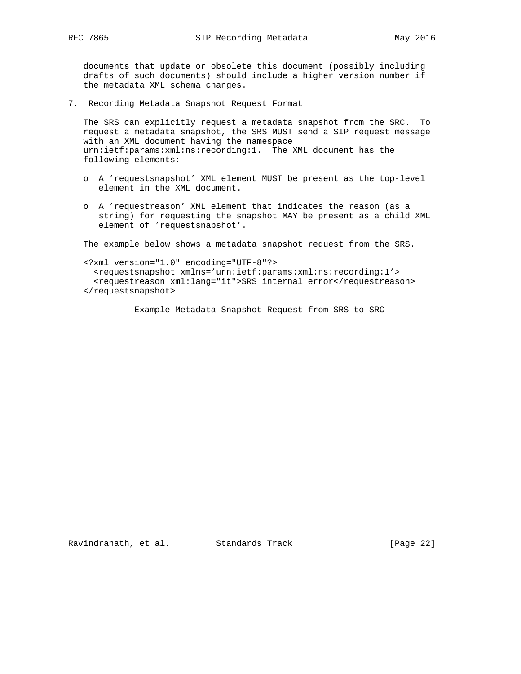documents that update or obsolete this document (possibly including drafts of such documents) should include a higher version number if the metadata XML schema changes.

7. Recording Metadata Snapshot Request Format

 The SRS can explicitly request a metadata snapshot from the SRC. To request a metadata snapshot, the SRS MUST send a SIP request message with an XML document having the namespace urn:ietf:params:xml:ns:recording:1. The XML document has the following elements:

- o A 'requestsnapshot' XML element MUST be present as the top-level element in the XML document.
- o A 'requestreason' XML element that indicates the reason (as a string) for requesting the snapshot MAY be present as a child XML element of 'requestsnapshot'.

The example below shows a metadata snapshot request from the SRS.

 <?xml version="1.0" encoding="UTF-8"?> <requestsnapshot xmlns='urn:ietf:params:xml:ns:recording:1'> <requestreason xml:lang="it">SRS internal error</requestreason> </requestsnapshot>

Example Metadata Snapshot Request from SRS to SRC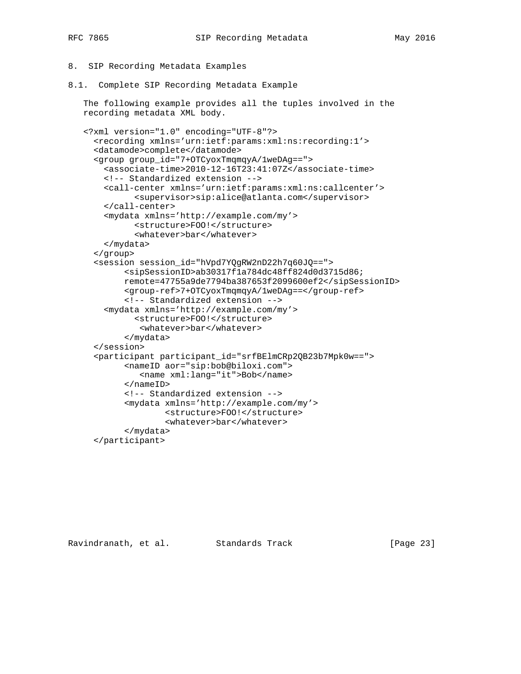- 8. SIP Recording Metadata Examples
- 8.1. Complete SIP Recording Metadata Example

 The following example provides all the tuples involved in the recording metadata XML body.

```
 <?xml version="1.0" encoding="UTF-8"?>
   <recording xmlns='urn:ietf:params:xml:ns:recording:1'>
   <datamode>complete</datamode>
   <group group_id="7+OTCyoxTmqmqyA/1weDAg==">
     <associate-time>2010-12-16T23:41:07Z</associate-time>
     <!-- Standardized extension -->
     <call-center xmlns='urn:ietf:params:xml:ns:callcenter'>
           <supervisor>sip:alice@atlanta.com</supervisor>
     </call-center>
     <mydata xmlns='http://example.com/my'>
           <structure>FOO!</structure>
           <whatever>bar</whatever>
     </mydata>
   </group>
   <session session_id="hVpd7YQgRW2nD22h7q60JQ==">
         <sipSessionID>ab30317f1a784dc48ff824d0d3715d86;
         remote=47755a9de7794ba387653f2099600ef2</sipSessionID>
         <group-ref>7+OTCyoxTmqmqyA/1weDAg==</group-ref>
         <!-- Standardized extension -->
     <mydata xmlns='http://example.com/my'>
           <structure>FOO!</structure>
            <whatever>bar</whatever>
         </mydata>
   </session>
   <participant participant_id="srfBElmCRp2QB23b7Mpk0w==">
         <nameID aor="sip:bob@biloxi.com">
            <name xml:lang="it">Bob</name>
         </nameID>
         <!-- Standardized extension -->
         <mydata xmlns='http://example.com/my'>
                 <structure>FOO!</structure>
                 <whatever>bar</whatever>
         </mydata>
   </participant>
```
Ravindranath, et al. Standards Track [Page 23]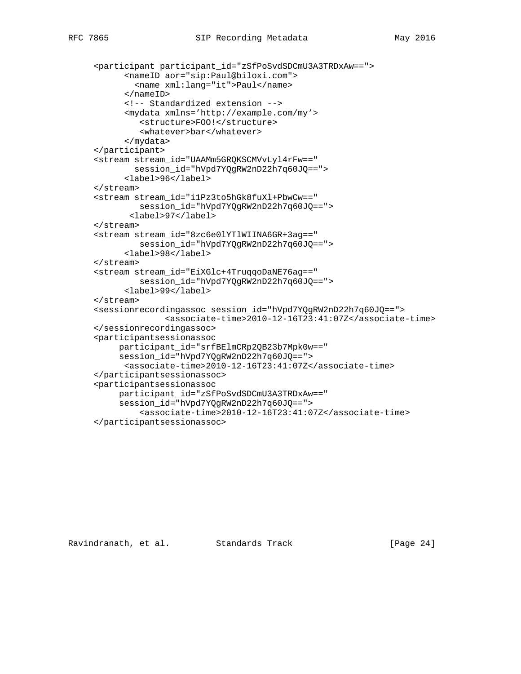```
 <participant participant_id="zSfPoSvdSDCmU3A3TRDxAw==">
       <nameID aor="sip:Paul@biloxi.com">
         <name xml:lang="it">Paul</name>
       </nameID>
       <!-- Standardized extension -->
       <mydata xmlns='http://example.com/my'>
          <structure>FOO!</structure>
          <whatever>bar</whatever>
       </mydata>
 </participant>
 <stream stream_id="UAAMm5GRQKSCMVvLyl4rFw=="
        session_id="hVpd7YQgRW2nD22h7q60JQ==">
       <label>96</label>
 </stream>
 <stream stream_id="i1Pz3to5hGk8fuXl+PbwCw=="
          session_id="hVpd7YQgRW2nD22h7q60JQ==">
        <label>97</label>
 </stream>
 <stream stream_id="8zc6e0lYTlWIINA6GR+3ag=="
         session_id="hVpd7YQgRW2nD22h7q60JQ==">
       <label>98</label>
 </stream>
 <stream stream_id="EiXGlc+4TruqqoDaNE76ag=="
          session_id="hVpd7YQgRW2nD22h7q60JQ==">
       <label>99</label>
 </stream>
 <sessionrecordingassoc session_id="hVpd7YQgRW2nD22h7q60JQ==">
               <associate-time>2010-12-16T23:41:07Z</associate-time>
 </sessionrecordingassoc>
 <participantsessionassoc
      participant_id="srfBElmCRp2QB23b7Mpk0w=="
      session_id="hVpd7YQgRW2nD22h7q60JQ==">
       <associate-time>2010-12-16T23:41:07Z</associate-time>
 </participantsessionassoc>
 <participantsessionassoc
      participant_id="zSfPoSvdSDCmU3A3TRDxAw=="
      session_id="hVpd7YQgRW2nD22h7q60JQ==">
          <associate-time>2010-12-16T23:41:07Z</associate-time>
 </participantsessionassoc>
```
Ravindranath, et al. Standards Track [Page 24]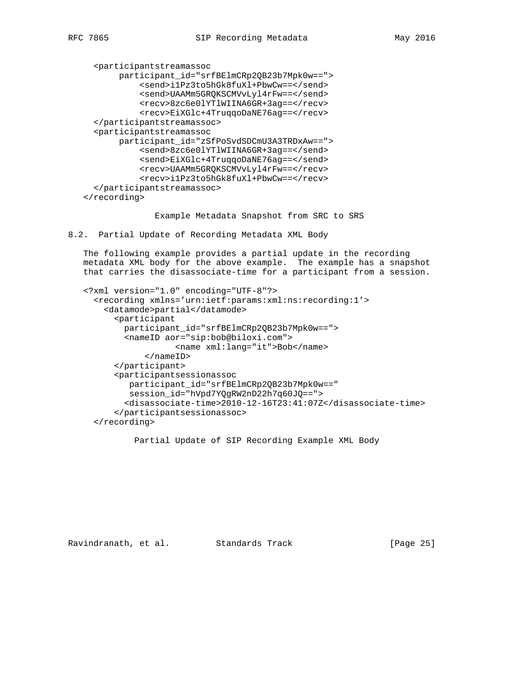```
 <participantstreamassoc
        participant_id="srfBElmCRp2QB23b7Mpk0w==">
            <send>i1Pz3to5hGk8fuXl+PbwCw==</send>
            <send>UAAMm5GRQKSCMVvLyl4rFw==</send>
            <recv>8zc6e0lYTlWIINA6GR+3ag==</recv>
            <recv>EiXGlc+4TruqqoDaNE76ag==</recv>
   </participantstreamassoc>
   <participantstreamassoc
        participant_id="zSfPoSvdSDCmU3A3TRDxAw==">
            <send>8zc6e0lYTlWIINA6GR+3ag==</send>
            <send>EiXGlc+4TruqqoDaNE76ag==</send>
            <recv>UAAMm5GRQKSCMVvLyl4rFw==</recv>
            <recv>i1Pz3to5hGk8fuXl+PbwCw==</recv>
   </participantstreamassoc>
 </recording>
```
Example Metadata Snapshot from SRC to SRS

8.2. Partial Update of Recording Metadata XML Body

 The following example provides a partial update in the recording metadata XML body for the above example. The example has a snapshot that carries the disassociate-time for a participant from a session.

```
 <?xml version="1.0" encoding="UTF-8"?>
   <recording xmlns='urn:ietf:params:xml:ns:recording:1'>
     <datamode>partial</datamode>
       <participant
         participant_id="srfBElmCRp2QB23b7Mpk0w==">
         <nameID aor="sip:bob@biloxi.com">
                   <name xml:lang="it">Bob</name>
             </nameID>
       </participant>
       <participantsessionassoc
          participant_id="srfBElmCRp2QB23b7Mpk0w=="
          session_id="hVpd7YQgRW2nD22h7q60JQ==">
         <disassociate-time>2010-12-16T23:41:07Z</disassociate-time>
       </participantsessionassoc>
   </recording>
```
Partial Update of SIP Recording Example XML Body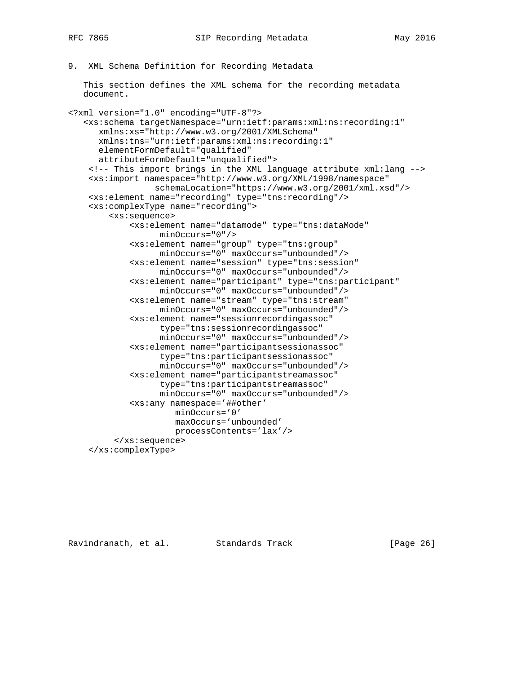```
9. XML Schema Definition for Recording Metadata
```
 This section defines the XML schema for the recording metadata document.

```
<?xml version="1.0" encoding="UTF-8"?>
    <xs:schema targetNamespace="urn:ietf:params:xml:ns:recording:1"
       xmlns:xs="http://www.w3.org/2001/XMLSchema"
       xmlns:tns="urn:ietf:params:xml:ns:recording:1"
       elementFormDefault="qualified"
       attributeFormDefault="unqualified">
     <!-- This import brings in the XML language attribute xml:lang -->
     <xs:import namespace="http://www.w3.org/XML/1998/namespace"
                  schemaLocation="https://www.w3.org/2001/xml.xsd"/>
     <xs:element name="recording" type="tns:recording"/>
     <xs:complexType name="recording">
         <xs:sequence>
             <xs:element name="datamode" type="tns:dataMode"
                   minOccurs="0"/>
             <xs:element name="group" type="tns:group"
                   minOccurs="0" maxOccurs="unbounded"/>
             <xs:element name="session" type="tns:session"
                   minOccurs="0" maxOccurs="unbounded"/>
             <xs:element name="participant" type="tns:participant"
                   minOccurs="0" maxOccurs="unbounded"/>
             <xs:element name="stream" type="tns:stream"
                   minOccurs="0" maxOccurs="unbounded"/>
             <xs:element name="sessionrecordingassoc"
                   type="tns:sessionrecordingassoc"
                   minOccurs="0" maxOccurs="unbounded"/>
             <xs:element name="participantsessionassoc"
                   type="tns:participantsessionassoc"
                   minOccurs="0" maxOccurs="unbounded"/>
             <xs:element name="participantstreamassoc"
                   type="tns:participantstreamassoc"
                   minOccurs="0" maxOccurs="unbounded"/>
             <xs:any namespace='##other'
                      minOccurs='0'
                      maxOccurs='unbounded'
                      processContents='lax'/>
          </xs:sequence>
     </xs:complexType>
```
Ravindranath, et al. Standards Track [Page 26]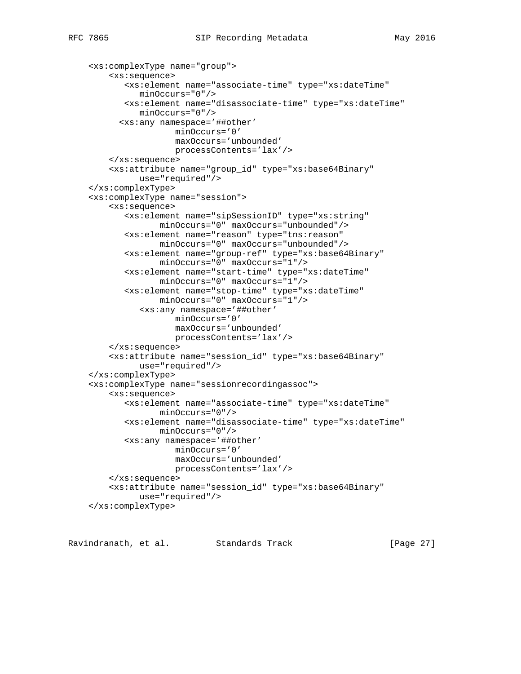```
 <xs:complexType name="group">
     <xs:sequence>
        <xs:element name="associate-time" type="xs:dateTime"
           minOccurs="0"/>
        <xs:element name="disassociate-time" type="xs:dateTime"
           minOccurs="0"/>
       <xs:any namespace='##other'
                  minOccurs='0'
                  maxOccurs='unbounded'
                  processContents='lax'/>
     </xs:sequence>
     <xs:attribute name="group_id" type="xs:base64Binary"
           use="required"/>
 </xs:complexType>
 <xs:complexType name="session">
     <xs:sequence>
        <xs:element name="sipSessionID" type="xs:string"
               minOccurs="0" maxOccurs="unbounded"/>
        <xs:element name="reason" type="tns:reason"
               minOccurs="0" maxOccurs="unbounded"/>
        <xs:element name="group-ref" type="xs:base64Binary"
               minOccurs="0" maxOccurs="1"/>
        <xs:element name="start-time" type="xs:dateTime"
               minOccurs="0" maxOccurs="1"/>
        <xs:element name="stop-time" type="xs:dateTime"
               minOccurs="0" maxOccurs="1"/>
           <xs:any namespace='##other'
                  minOccurs='0'
                  maxOccurs='unbounded'
                  processContents='lax'/>
     </xs:sequence>
     <xs:attribute name="session_id" type="xs:base64Binary"
           use="required"/>
 </xs:complexType>
 <xs:complexType name="sessionrecordingassoc">
     <xs:sequence>
        <xs:element name="associate-time" type="xs:dateTime"
               minOccurs="0"/>
        <xs:element name="disassociate-time" type="xs:dateTime"
              minOccurs="0"/>
        <xs:any namespace='##other'
                  minOccurs='0'
                  maxOccurs='unbounded'
                  processContents='lax'/>
     </xs:sequence>
     <xs:attribute name="session_id" type="xs:base64Binary"
           use="required"/>
 </xs:complexType>
```
Ravindranath, et al. Standards Track [Page 27]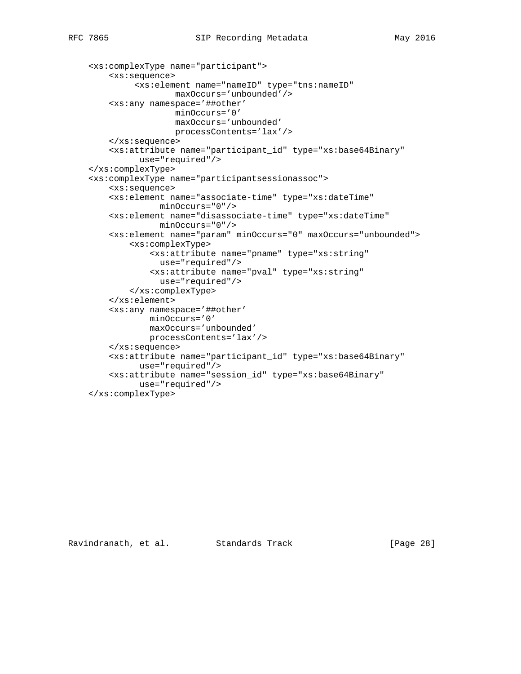```
 <xs:complexType name="participant">
     <xs:sequence>
          <xs:element name="nameID" type="tns:nameID"
                  maxOccurs='unbounded'/>
     <xs:any namespace='##other'
                  minOccurs='0'
                  maxOccurs='unbounded'
                  processContents='lax'/>
     </xs:sequence>
     <xs:attribute name="participant_id" type="xs:base64Binary"
           use="required"/>
 </xs:complexType>
 <xs:complexType name="participantsessionassoc">
     <xs:sequence>
     <xs:element name="associate-time" type="xs:dateTime"
               minOccurs="0"/>
     <xs:element name="disassociate-time" type="xs:dateTime"
              minOccurs="0"/>
     <xs:element name="param" minOccurs="0" maxOccurs="unbounded">
         <xs:complexType>
             <xs:attribute name="pname" type="xs:string"
               use="required"/>
             <xs:attribute name="pval" type="xs:string"
               use="required"/>
         </xs:complexType>
     </xs:element>
     <xs:any namespace='##other'
             minOccurs='0'
             maxOccurs='unbounded'
             processContents='lax'/>
     </xs:sequence>
     <xs:attribute name="participant_id" type="xs:base64Binary"
           use="required"/>
     <xs:attribute name="session_id" type="xs:base64Binary"
           use="required"/>
 </xs:complexType>
```
Ravindranath, et al. Standards Track [Page 28]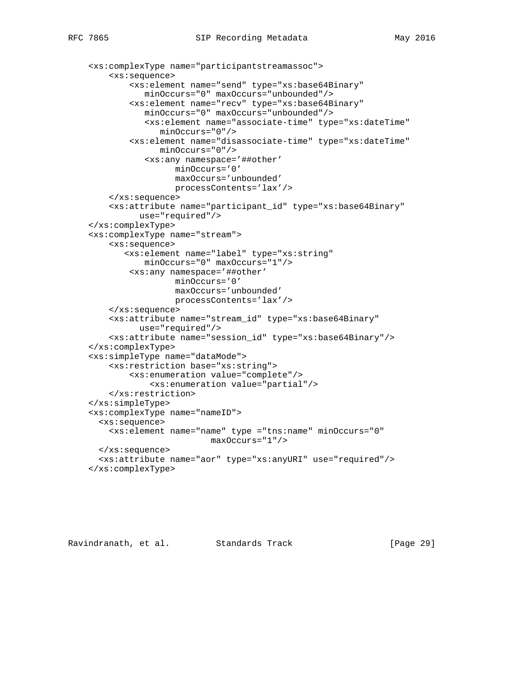```
 <xs:complexType name="participantstreamassoc">
     <xs:sequence>
         <xs:element name="send" type="xs:base64Binary"
            minOccurs="0" maxOccurs="unbounded"/>
         <xs:element name="recv" type="xs:base64Binary"
            minOccurs="0" maxOccurs="unbounded"/>
            <xs:element name="associate-time" type="xs:dateTime"
               minOccurs="0"/>
         <xs:element name="disassociate-time" type="xs:dateTime"
               minOccurs="0"/>
            <xs:any namespace='##other'
                  minOccurs='0'
                  maxOccurs='unbounded'
                  processContents='lax'/>
     </xs:sequence>
     <xs:attribute name="participant_id" type="xs:base64Binary"
           use="required"/>
 </xs:complexType>
 <xs:complexType name="stream">
     <xs:sequence>
        <xs:element name="label" type="xs:string"
            minOccurs="0" maxOccurs="1"/>
         <xs:any namespace='##other'
                  minOccurs='0'
                  maxOccurs='unbounded'
                  processContents='lax'/>
     </xs:sequence>
     <xs:attribute name="stream_id" type="xs:base64Binary"
           use="required"/>
     <xs:attribute name="session_id" type="xs:base64Binary"/>
 </xs:complexType>
 <xs:simpleType name="dataMode">
     <xs:restriction base="xs:string">
         <xs:enumeration value="complete"/>
             <xs:enumeration value="partial"/>
     </xs:restriction>
 </xs:simpleType>
 <xs:complexType name="nameID">
  <xs:sequence>
     <xs:element name="name" type ="tns:name" minOccurs="0"
                         maxOccurs="1"/>
  </xs:sequence>
  <xs:attribute name="aor" type="xs:anyURI" use="required"/>
 </xs:complexType>
```
Ravindranath, et al. Standards Track [Page 29]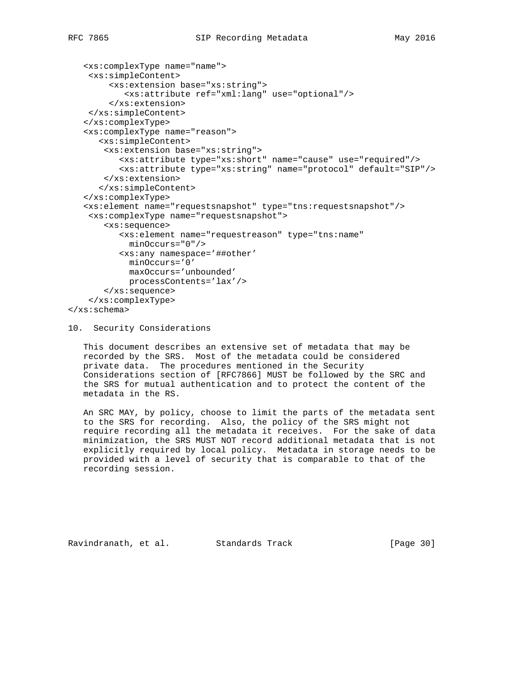```
 <xs:complexType name="name">
     <xs:simpleContent>
         <xs:extension base="xs:string">
            <xs:attribute ref="xml:lang" use="optional"/>
         </xs:extension>
     </xs:simpleContent>
    </xs:complexType>
    <xs:complexType name="reason">
       <xs:simpleContent>
        <xs:extension base="xs:string">
           <xs:attribute type="xs:short" name="cause" use="required"/>
           <xs:attribute type="xs:string" name="protocol" default="SIP"/>
        </xs:extension>
       </xs:simpleContent>
    </xs:complexType>
    <xs:element name="requestsnapshot" type="tns:requestsnapshot"/>
     <xs:complexType name="requestsnapshot">
        <xs:sequence>
           <xs:element name="requestreason" type="tns:name"
             minOccurs="0"/>
           <xs:any namespace='##other'
             minOccurs='0'
             maxOccurs='unbounded'
             processContents='lax'/>
        </xs:sequence>
     </xs:complexType>
</xs:schema>
```
#### 10. Security Considerations

 This document describes an extensive set of metadata that may be recorded by the SRS. Most of the metadata could be considered private data. The procedures mentioned in the Security Considerations section of [RFC7866] MUST be followed by the SRC and the SRS for mutual authentication and to protect the content of the metadata in the RS.

 An SRC MAY, by policy, choose to limit the parts of the metadata sent to the SRS for recording. Also, the policy of the SRS might not require recording all the metadata it receives. For the sake of data minimization, the SRS MUST NOT record additional metadata that is not explicitly required by local policy. Metadata in storage needs to be provided with a level of security that is comparable to that of the recording session.

Ravindranath, et al. Standards Track [Page 30]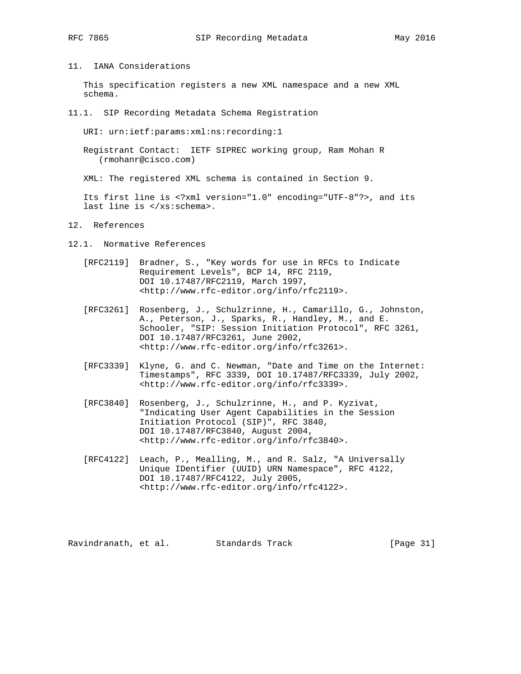11. IANA Considerations

 This specification registers a new XML namespace and a new XML schema.

11.1. SIP Recording Metadata Schema Registration

URI: urn:ietf:params:xml:ns:recording:1

 Registrant Contact: IETF SIPREC working group, Ram Mohan R (rmohanr@cisco.com)

XML: The registered XML schema is contained in Section 9.

 Its first line is <?xml version="1.0" encoding="UTF-8"?>, and its last line is </xs:schema>.

- 12. References
- 12.1. Normative References
	- [RFC2119] Bradner, S., "Key words for use in RFCs to Indicate Requirement Levels", BCP 14, RFC 2119, DOI 10.17487/RFC2119, March 1997, <http://www.rfc-editor.org/info/rfc2119>.
	- [RFC3261] Rosenberg, J., Schulzrinne, H., Camarillo, G., Johnston, A., Peterson, J., Sparks, R., Handley, M., and E. Schooler, "SIP: Session Initiation Protocol", RFC 3261, DOI 10.17487/RFC3261, June 2002, <http://www.rfc-editor.org/info/rfc3261>.
	- [RFC3339] Klyne, G. and C. Newman, "Date and Time on the Internet: Timestamps", RFC 3339, DOI 10.17487/RFC3339, July 2002, <http://www.rfc-editor.org/info/rfc3339>.
	- [RFC3840] Rosenberg, J., Schulzrinne, H., and P. Kyzivat, "Indicating User Agent Capabilities in the Session Initiation Protocol (SIP)", RFC 3840, DOI 10.17487/RFC3840, August 2004, <http://www.rfc-editor.org/info/rfc3840>.
	- [RFC4122] Leach, P., Mealling, M., and R. Salz, "A Universally Unique IDentifier (UUID) URN Namespace", RFC 4122, DOI 10.17487/RFC4122, July 2005, <http://www.rfc-editor.org/info/rfc4122>.

Ravindranath, et al. Standards Track [Page 31]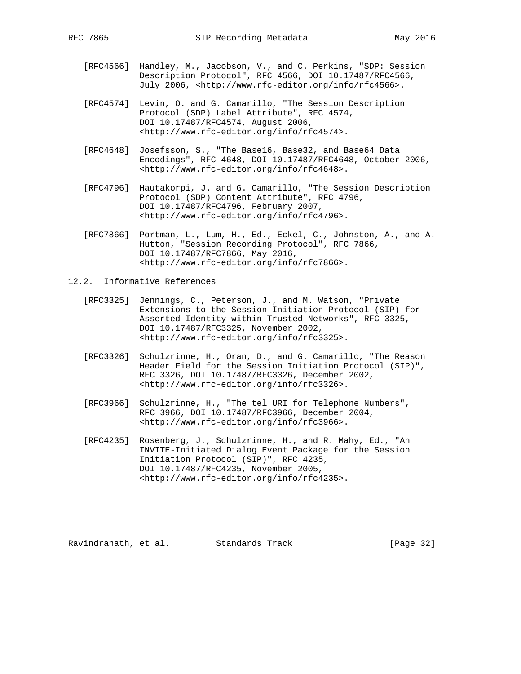- [RFC4566] Handley, M., Jacobson, V., and C. Perkins, "SDP: Session Description Protocol", RFC 4566, DOI 10.17487/RFC4566, July 2006, <http://www.rfc-editor.org/info/rfc4566>.
- [RFC4574] Levin, O. and G. Camarillo, "The Session Description Protocol (SDP) Label Attribute", RFC 4574, DOI 10.17487/RFC4574, August 2006, <http://www.rfc-editor.org/info/rfc4574>.
- [RFC4648] Josefsson, S., "The Base16, Base32, and Base64 Data Encodings", RFC 4648, DOI 10.17487/RFC4648, October 2006, <http://www.rfc-editor.org/info/rfc4648>.
- [RFC4796] Hautakorpi, J. and G. Camarillo, "The Session Description Protocol (SDP) Content Attribute", RFC 4796, DOI 10.17487/RFC4796, February 2007, <http://www.rfc-editor.org/info/rfc4796>.
	- [RFC7866] Portman, L., Lum, H., Ed., Eckel, C., Johnston, A., and A. Hutton, "Session Recording Protocol", RFC 7866, DOI 10.17487/RFC7866, May 2016, <http://www.rfc-editor.org/info/rfc7866>.
- 12.2. Informative References
	- [RFC3325] Jennings, C., Peterson, J., and M. Watson, "Private Extensions to the Session Initiation Protocol (SIP) for Asserted Identity within Trusted Networks", RFC 3325, DOI 10.17487/RFC3325, November 2002, <http://www.rfc-editor.org/info/rfc3325>.
	- [RFC3326] Schulzrinne, H., Oran, D., and G. Camarillo, "The Reason Header Field for the Session Initiation Protocol (SIP)", RFC 3326, DOI 10.17487/RFC3326, December 2002, <http://www.rfc-editor.org/info/rfc3326>.
	- [RFC3966] Schulzrinne, H., "The tel URI for Telephone Numbers", RFC 3966, DOI 10.17487/RFC3966, December 2004, <http://www.rfc-editor.org/info/rfc3966>.
	- [RFC4235] Rosenberg, J., Schulzrinne, H., and R. Mahy, Ed., "An INVITE-Initiated Dialog Event Package for the Session Initiation Protocol (SIP)", RFC 4235, DOI 10.17487/RFC4235, November 2005, <http://www.rfc-editor.org/info/rfc4235>.

Ravindranath, et al. Standards Track [Page 32]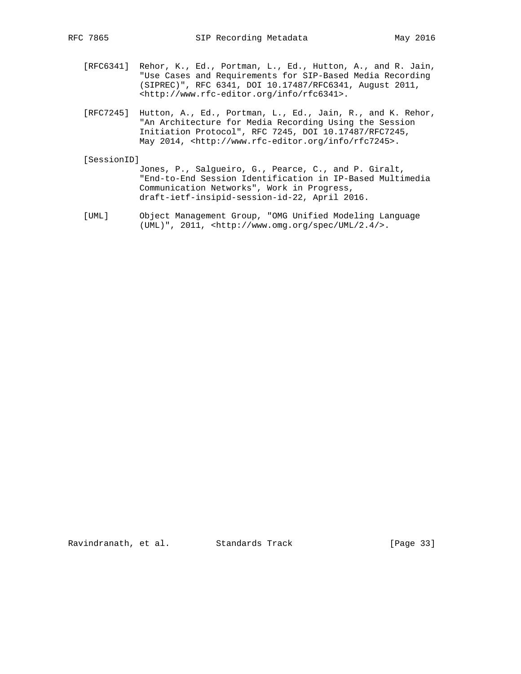- [RFC6341] Rehor, K., Ed., Portman, L., Ed., Hutton, A., and R. Jain, "Use Cases and Requirements for SIP-Based Media Recording (SIPREC)", RFC 6341, DOI 10.17487/RFC6341, August 2011, <http://www.rfc-editor.org/info/rfc6341>.
- [RFC7245] Hutton, A., Ed., Portman, L., Ed., Jain, R., and K. Rehor, "An Architecture for Media Recording Using the Session Initiation Protocol", RFC 7245, DOI 10.17487/RFC7245, May 2014, <http://www.rfc-editor.org/info/rfc7245>.

#### [SessionID]

- Jones, P., Salgueiro, G., Pearce, C., and P. Giralt, "End-to-End Session Identification in IP-Based Multimedia Communication Networks", Work in Progress, draft-ietf-insipid-session-id-22, April 2016.
- [UML] Object Management Group, "OMG Unified Modeling Language (UML)", 2011, <http://www.omg.org/spec/UML/2.4/>.